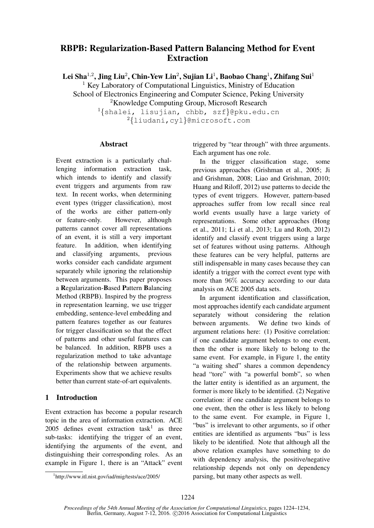# RBPB: Regularization-Based Pattern Balancing Method for Event Extraction

Lei Sha $^{1,2}$ , Jing Liu $^2$ , Chin-Yew Lin $^2$ , Sujian Li $^1$ , Baobao Chang $^1$ , Zhifang Sui $^1$ 

 $1$  Key Laboratory of Computational Linguistics, Ministry of Education School of Electronics Engineering and Computer Science, Peking University

<sup>2</sup>Knowledge Computing Group, Microsoft Research

<sup>1</sup>{shalei, lisujian, chbb, szf}@pku.edu.cn <sup>2</sup>{liudani,cyl}@microsoft.com

## Abstract

Event extraction is a particularly challenging information extraction task, which intends to identify and classify event triggers and arguments from raw text. In recent works, when determining event types (trigger classification), most of the works are either pattern-only or feature-only. However, although patterns cannot cover all representations of an event, it is still a very important feature. In addition, when identifying and classifying arguments, previous works consider each candidate argument separately while ignoring the relationship between arguments. This paper proposes a Regularization-Based Pattern Balancing Method (RBPB). Inspired by the progress in representation learning, we use trigger embedding, sentence-level embedding and pattern features together as our features for trigger classification so that the effect of patterns and other useful features can be balanced. In addition, RBPB uses a regularization method to take advantage of the relationship between arguments. Experiments show that we achieve results better than current state-of-art equivalents.

# 1 Introduction

Event extraction has become a popular research topic in the area of information extraction. ACE  $2005$  defines event extraction task<sup>1</sup> as three sub-tasks: identifying the trigger of an event, identifying the arguments of the event, and distinguishing their corresponding roles. As an example in Figure 1, there is an "Attack" event triggered by "tear through" with three arguments. Each argument has one role.

In the trigger classification stage, some previous approaches (Grishman et al., 2005; Ji and Grishman, 2008; Liao and Grishman, 2010; Huang and Riloff, 2012) use patterns to decide the types of event triggers. However, pattern-based approaches suffer from low recall since real world events usually have a large variety of representations. Some other approaches (Hong et al., 2011; Li et al., 2013; Lu and Roth, 2012) identify and classify event triggers using a large set of features without using patterns. Although these features can be very helpful, patterns are still indispensable in many cases because they can identify a trigger with the correct event type with more than 96% accuracy according to our data analysis on ACE 2005 data sets.

In argument identification and classification, most approaches identify each candidate argument separately without considering the relation between arguments. We define two kinds of argument relations here: (1) Positive correlation: if one candidate argument belongs to one event, then the other is more likely to belong to the same event. For example, in Figure 1, the entity "a waiting shed" shares a common dependency head "tore" with "a powerful bomb", so when the latter entity is identified as an argument, the former is more likely to be identified. (2) Negative correlation: if one candidate argument belongs to one event, then the other is less likely to belong to the same event. For example, in Figure 1, "bus" is irrelevant to other arguments, so if other entities are identified as arguments "bus" is less likely to be identified. Note that although all the above relation examples have something to do with dependency analysis, the positive/negative relationship depends not only on dependency parsing, but many other aspects as well.

<sup>1</sup> http://www.itl.nist.gov/iad/mig/tests/ace/2005/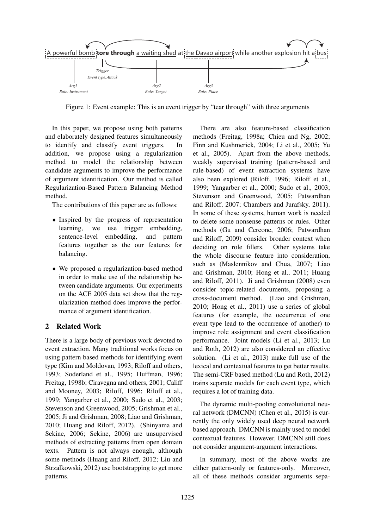

Figure 1: Event example: This is an event trigger by "tear through" with three arguments

In this paper, we propose using both patterns and elaborately designed features simultaneously to identify and classify event triggers. In addition, we propose using a regularization method to model the relationship between candidate arguments to improve the performance of argument identification. Our method is called Regularization-Based Pattern Balancing Method method.

The contributions of this paper are as follows:

- Inspired by the progress of representation learning, we use trigger embedding, sentence-level embedding, and pattern features together as the our features for balancing.
- We proposed a regularization-based method in order to make use of the relationship between candidate arguments. Our experiments on the ACE 2005 data set show that the regularization method does improve the performance of argument identification.

# 2 Related Work

There is a large body of previous work devoted to event extraction. Many traditional works focus on using pattern based methods for identifying event type (Kim and Moldovan, 1993; Riloff and others, 1993; Soderland et al., 1995; Huffman, 1996; Freitag, 1998b; Ciravegna and others, 2001; Califf and Mooney, 2003; Riloff, 1996; Riloff et al., 1999; Yangarber et al., 2000; Sudo et al., 2003; Stevenson and Greenwood, 2005; Grishman et al., 2005; Ji and Grishman, 2008; Liao and Grishman, 2010; Huang and Riloff, 2012). (Shinyama and Sekine, 2006; Sekine, 2006) are unsupervised methods of extracting patterns from open domain texts. Pattern is not always enough, although some methods (Huang and Riloff, 2012; Liu and Strzalkowski, 2012) use bootstrapping to get more patterns.

There are also feature-based classification methods (Freitag, 1998a; Chieu and Ng, 2002; Finn and Kushmerick, 2004; Li et al., 2005; Yu et al., 2005). Apart from the above methods, weakly supervised training (pattern-based and rule-based) of event extraction systems have also been explored (Riloff, 1996; Riloff et al., 1999; Yangarber et al., 2000; Sudo et al., 2003; Stevenson and Greenwood, 2005; Patwardhan and Riloff, 2007; Chambers and Jurafsky, 2011). In some of these systems, human work is needed to delete some nonsense patterns or rules. Other methods (Gu and Cercone, 2006; Patwardhan and Riloff, 2009) consider broader context when deciding on role fillers. Other systems take the whole discourse feature into consideration, such as (Maslennikov and Chua, 2007; Liao and Grishman, 2010; Hong et al., 2011; Huang and Riloff, 2011). Ji and Grishman (2008) even consider topic-related documents, proposing a cross-document method. (Liao and Grishman, 2010; Hong et al., 2011) use a series of global features (for example, the occurrence of one event type lead to the occurrence of another) to improve role assignment and event classification performance. Joint models (Li et al., 2013; Lu and Roth, 2012) are also considered an effective solution. (Li et al., 2013) make full use of the lexical and contextual features to get better results. The semi-CRF based method (Lu and Roth, 2012) trains separate models for each event type, which requires a lot of training data.

The dynamic multi-pooling convolutional neural network (DMCNN) (Chen et al., 2015) is currently the only widely used deep neural network based approach. DMCNN is mainly used to model contextual features. However, DMCNN still does not consider argument-argument interactions.

In summary, most of the above works are either pattern-only or features-only. Moreover, all of these methods consider arguments sepa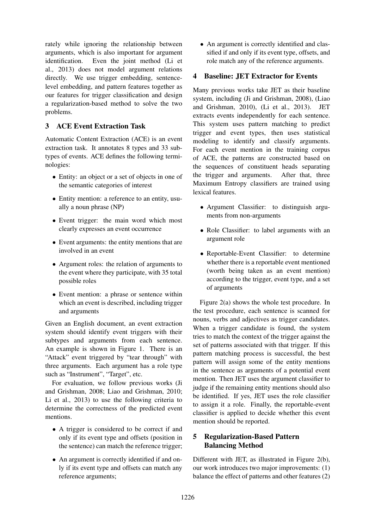rately while ignoring the relationship between arguments, which is also important for argument identification. Even the joint method (Li et al., 2013) does not model argument relations directly. We use trigger embedding, sentencelevel embedding, and pattern features together as our features for trigger classification and design a regularization-based method to solve the two problems.

## 3 ACE Event Extraction Task

Automatic Content Extraction (ACE) is an event extraction task. It annotates 8 types and 33 subtypes of events. ACE defines the following terminologies:

- Entity: an object or a set of objects in one of the semantic categories of interest
- Entity mention: a reference to an entity, usually a noun phrase (NP)
- Event trigger: the main word which most clearly expresses an event occurrence
- Event arguments: the entity mentions that are involved in an event
- Argument roles: the relation of arguments to the event where they participate, with 35 total possible roles
- Event mention: a phrase or sentence within which an event is described, including trigger and arguments

Given an English document, an event extraction system should identify event triggers with their subtypes and arguments from each sentence. An example is shown in Figure 1. There is an "Attack" event triggered by "tear through" with three arguments. Each argument has a role type such as "Instrument", "Target", etc.

For evaluation, we follow previous works (Ji and Grishman, 2008; Liao and Grishman, 2010; Li et al., 2013) to use the following criteria to determine the correctness of the predicted event mentions.

- A trigger is considered to be correct if and only if its event type and offsets (position in the sentence) can match the reference trigger;
- An argument is correctly identified if and only if its event type and offsets can match any reference arguments;

• An argument is correctly identified and classified if and only if its event type, offsets, and role match any of the reference arguments.

## 4 Baseline: JET Extractor for Events

Many previous works take JET as their baseline system, including (Ji and Grishman, 2008), (Liao and Grishman, 2010), (Li et al., 2013). JET extracts events independently for each sentence. This system uses pattern matching to predict trigger and event types, then uses statistical modeling to identify and classify arguments. For each event mention in the training corpus of ACE, the patterns are constructed based on the sequences of constituent heads separating the trigger and arguments. After that, three Maximum Entropy classifiers are trained using lexical features.

- Argument Classifier: to distinguish arguments from non-arguments
- Role Classifier: to label arguments with an argument role
- Reportable-Event Classifier: to determine whether there is a reportable event mentioned (worth being taken as an event mention) according to the trigger, event type, and a set of arguments

Figure 2(a) shows the whole test procedure. In the test procedure, each sentence is scanned for nouns, verbs and adjectives as trigger candidates. When a trigger candidate is found, the system tries to match the context of the trigger against the set of patterns associated with that trigger. If this pattern matching process is successful, the best pattern will assign some of the entity mentions in the sentence as arguments of a potential event mention. Then JET uses the argument classifier to judge if the remaining entity mentions should also be identified. If yes, JET uses the role classifier to assign it a role. Finally, the reportable-event classifier is applied to decide whether this event mention should be reported.

# 5 Regularization-Based Pattern Balancing Method

Different with JET, as illustrated in Figure 2(b), our work introduces two major improvements: (1) balance the effect of patterns and other features (2)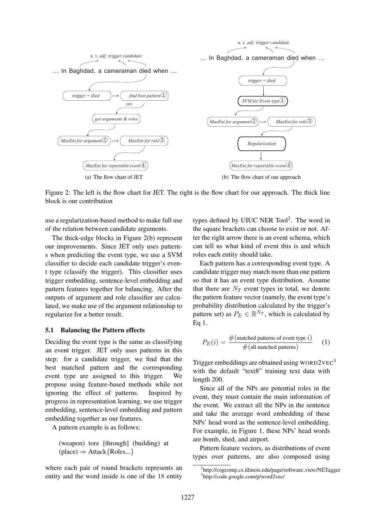

Figure 2: The left is the flow chart for JET. The right is the flow chart for our approach. The thick line block is our contribution

use a regularization-based method to make full use of the relation between candidate arguments.

The thick-edge blocks in Figure 2(b) represent our improvements. Since JET only uses patterns when predicting the event type, we use a SVM classifier to decide each candidate trigger's event type (classify the trigger). This classifier uses trigger embedding, sentence-level embedding and pattern features together for balancing. After the outputs of argument and role classifier are calculated, we make use of the argument relationship to regularize for a better result.

### 5.1 Balancing the Pattern effects

Deciding the event type is the same as classifying an event trigger. JET only uses patterns in this step: for a candidate trigger, we find that the best matched pattern and the corresponding event type are assigned to this trigger. We propose using feature-based methods while not ignoring the effect of patterns. Inspired by progress in representation learning, we use trigger embedding, sentence-level embedding and pattern embedding together as our features.

A pattern example is as follows:

(weapon) tore [through] (building) at (place) 
$$
\Rightarrow
$$
 Attack{Roles...}

where each pair of round brackets represents an entity and the word inside is one of the 18 entity

types defined by UIUC NER Tool<sup>2</sup>. The word in the square brackets can choose to exist or not. After the right arrow there is an event schema, which can tell us what kind of event this is and which roles each entity should take.

Each pattern has a corresponding event type. A candidate trigger may match more than one pattern so that it has an event type distribution. Assume that there are  $N_T$  event types in total, we denote the pattern feature vector (namely, the event type's probability distribution calculated by the trigger's pattern set) as  $P_E \in \mathbb{R}^{N_T}$ , which is calculated by Eq 1.

$$
P_E(i) = \frac{\#(\text{matched patterns of event type } i)}{\#(\text{all matched patterns})}
$$
 (1)

Trigger embeddings are obtained using WORD2VEC<sup>3</sup> with the default "text8" training text data with length 200.

Since all of the NPs are potential roles in the event, they must contain the main information of the event. We extract all the NPs in the sentence and take the average word embedding of these NPs' head word as the sentence-level embedding. For example, in Figure 1, these NPs' head words are bomb, shed, and airport.

Pattern feature vectors, as distributions of event types over patterns, are also composed using

<sup>&</sup>lt;sup>2</sup>http://cogcomp.cs.illinois.edu/page/software\_view/NETagger 3 http://code.google.com/p/word2vec/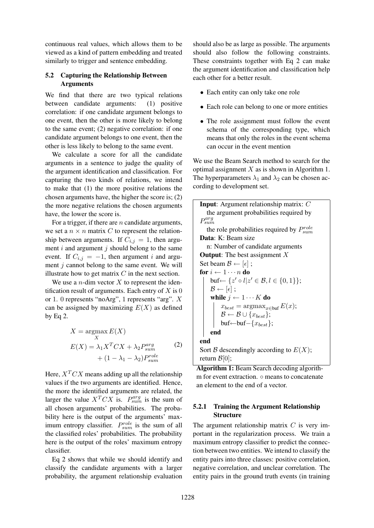continuous real values, which allows them to be viewed as a kind of pattern embedding and treated similarly to trigger and sentence embedding.

## 5.2 Capturing the Relationship Between Arguments

We find that there are two typical relations between candidate arguments: (1) positive correlation: if one candidate argument belongs to one event, then the other is more likely to belong to the same event; (2) negative correlation: if one candidate argument belongs to one event, then the other is less likely to belong to the same event.

We calculate a score for all the candidate arguments in a sentence to judge the quality of the argument identification and classification. For capturing the two kinds of relations, we intend to make that (1) the more positive relations the chosen arguments have, the higher the score is; (2) the more negative relations the chosen arguments have, the lower the score is.

For a trigger, if there are  $n$  candidate arguments, we set a  $n \times n$  matrix C to represent the relationship between arguments. If  $C_{i,j} = 1$ , then argument  $i$  and argument  $j$  should belong to the same event. If  $C_{i,j} = -1$ , then argument i and argument  $j$  cannot belong to the same event. We will illustrate how to get matrix  $C$  in the next section.

We use a *n*-dim vector  $X$  to represent the identification result of arguments. Each entry of  $X$  is 0 or 1. 0 represents "noArg", 1 represents "arg". X can be assigned by maximizing  $E(X)$  as defined by Eq 2.

$$
X = \operatorname*{argmax}_{X} E(X)
$$
  
\n
$$
E(X) = \lambda_1 X^T C X + \lambda_2 P_{sum}^{arg}
$$
\n
$$
+ (1 - \lambda_1 - \lambda_2) P_{sum}^{role}
$$
\n(2)

Here,  $X<sup>T</sup>CX$  means adding up all the relationship values if the two arguments are identified. Hence, the more the identified arguments are related, the larger the value  $X^T C X$  is.  $P_{sum}^{arg}$  is the sum of all chosen arguments' probabilities. The probability here is the output of the arguments' maximum entropy classifier.  $P_{sum}^{role}$  is the sum of all the classified roles' probabilities. The probability here is the output of the roles' maximum entropy classifier.

Eq 2 shows that while we should identify and classify the candidate arguments with a larger probability, the argument relationship evaluation

should also be as large as possible. The arguments should also follow the following constraints. These constraints together with Eq 2 can make the argument identification and classification help each other for a better result.

- Each entity can only take one role
- Each role can belong to one or more entities
- The role assignment must follow the event schema of the corresponding type, which means that only the roles in the event schema can occur in the event mention

We use the Beam Search method to search for the optimal assignment  $X$  as is shown in Algorithm 1. The hyperparameters  $\lambda_1$  and  $\lambda_2$  can be chosen according to development set.

```
Input: Argument relationship matrix: C
   the argument probabilities required by
P<sub>sum</sub>
    the role probabilities required by P_{sum}^{role}Data: K: Beam size
   n: Number of candidate arguments
Output: The best assignment XSet beam \mathcal{B} \leftarrow [\epsilon];
for i \leftarrow 1 \cdots n do
      buf \leftarrow \{z' \circ l | z' \in \mathcal{B}, l \in \{0, 1\}\};\mathcal{B} \leftarrow [\epsilon] ;
     while j \leftarrow 1 \cdots K do
           x_{best} = \operatorname{argmax}_{x \in \text{buf}} E(x);\mathcal{B} \leftarrow \mathcal{B} \cup \{x_{best}\};buf←buf–{x_{best}};
     end
end
Sort \mathcal B descendingly according to E(X);
return \mathcal{B}[0];
```
Algorithm 1: Beam Search decoding algorithm for event extraction. ○ means to concatenate an element to the end of a vector.

## 5.2.1 Training the Argument Relationship Structure

The argument relationship matrix  $C$  is very important in the regularization process. We train a maximum entropy classifier to predict the connection between two entities. We intend to classify the entity pairs into three classes: positive correlation, negative correlation, and unclear correlation. The entity pairs in the ground truth events (in training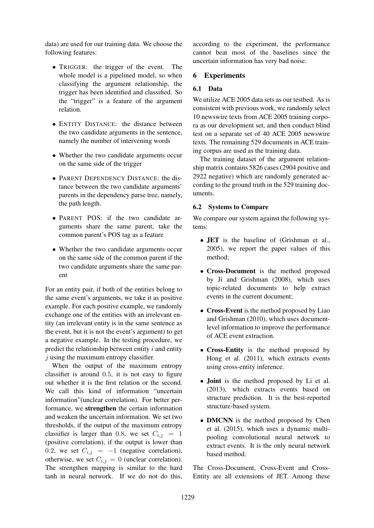data) are used for our training data. We choose the following features:

- TRIGGER: the trigger of the event. The whole model is a pipelined model, so when classifying the argument relationship, the trigger has been identified and classified. So the "trigger" is a feature of the argument relation.
- ENTITY DISTANCE: the distance between the two candidate arguments in the sentence, namely the number of intervening words
- Whether the two candidate arguments occur on the same side of the trigger
- PARENT DEPENDENCY DISTANCE: the distance between the two candidate arguments' parents in the dependency parse tree, namely, the path length.
- PARENT POS: if the two candidate arguments share the same parent, take the common parent's POS tag as a feature
- Whether the two candidate arguments occur on the same side of the common parent if the two candidate arguments share the same parent

For an entity pair, if both of the entities belong to the same event's arguments, we take it as positive example. For each positive example, we randomly exchange one of the entities with an irrelevant entity (an irrelevant entity is in the same sentence as the event, but it is not the event's argument) to get a negative example. In the testing procedure, we predict the relationship between entity  $i$  and entity  $i$  using the maximum entropy classifier.

When the output of the maximum entropy classifier is around 0.5, it is not easy to figure out whether it is the first relation or the second. We call this kind of information "uncertain information"(unclear correlation). For better performance, we strengthen the certain information and weaken the uncertain information. We set two thresholds, if the output of the maximum entropy classifier is larger than 0.8, we set  $C_{i,j} = 1$ (positive correlation), if the output is lower than 0.2, we set  $C_{i,j} = -1$  (negative correlation), otherwise, we set  $C_{i,j} = 0$  (unclear correlation). The strengthen mapping is similar to the hard tanh in neural network. If we do not do this,

according to the experiment, the performance cannot beat most of the baselines since the uncertain information has very bad noise.

### 6 Experiments

### 6.1 Data

We utilize ACE 2005 data sets as our testbed. As is consistent with previous work, we randomly select 10 newswire texts from ACE 2005 training corpora as our development set, and then conduct blind test on a separate set of 40 ACE 2005 newswire texts. The remaining 529 documents in ACE training corpus are used as the training data.

The training dataset of the argument relationship matrix contains 5826 cases (2904 positive and 2922 negative) which are randomly generated according to the ground truth in the 529 training documents.

#### 6.2 Systems to Compare

We compare our system against the following systems:

- JET is the baseline of (Grishman et al., 2005), we report the paper values of this method;
- Cross-Document is the method proposed by Ji and Grishman (2008), which uses topic-related documents to help extract events in the current document;
- Cross-Event is the method proposed by Liao and Grishman (2010), which uses documentlevel information to improve the performance of ACE event extraction.
- Cross-Entity is the method proposed by Hong et al. (2011), which extracts events using cross-entity inference.
- **Joint** is the method proposed by Li et al. (2013), which extracts events based on structure prediction. It is the best-reported structure-based system.
- **DMCNN** is the method proposed by Chen et al. (2015), which uses a dynamic multipooling convolutional neural network to extract events. It is the only neural network based method.

The Cross-Document, Cross-Event and Cross-Entity are all extensions of JET. Among these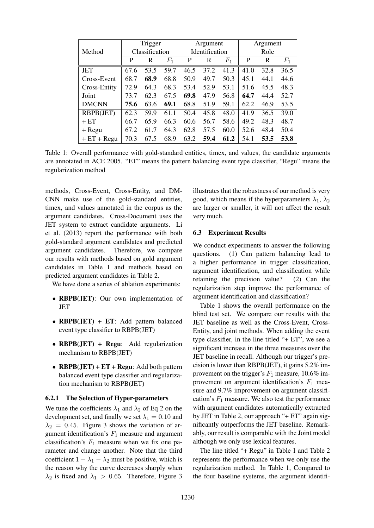|               | Trigger        |      | Argument |                       | Argument |             |      |      |       |
|---------------|----------------|------|----------|-----------------------|----------|-------------|------|------|-------|
| Method        | Classification |      |          | <b>Identification</b> |          |             | Role |      |       |
|               | P              | R    | $F_1$    | P                     | R        | $F_{\rm 1}$ | P    | R    | $F_1$ |
| <b>JET</b>    | 67.6           | 53.5 | 59.7     | 46.5                  | 37.2     | 41.3        | 41.0 | 32.8 | 36.5  |
| Cross-Event   | 68.7           | 68.9 | 68.8     | 50.9                  | 49.7     | 50.3        | 45.1 | 44.1 | 44.6  |
| Cross-Entity  | 72.9           | 64.3 | 68.3     | 53.4                  | 52.9     | 53.1        | 51.6 | 45.5 | 48.3  |
| Joint         | 73.7           | 62.3 | 67.5     | 69.8                  | 47.9     | 56.8        | 64.7 | 44.4 | 52.7  |
| <b>DMCNN</b>  | 75.6           | 63.6 | 69.1     | 68.8                  | 51.9     | 59.1        | 62.2 | 46.9 | 53.5  |
| RBPB(JET)     | 62.3           | 59.9 | 61.1     | 50.4                  | 45.8     | 48.0        | 41.9 | 36.5 | 39.0  |
| $+ ET$        | 66.7           | 65.9 | 66.3     | 60.6                  | 56.7     | 58.6        | 49.2 | 48.3 | 48.7  |
| + Regu        | 67.2           | 61.7 | 64.3     | 62.8                  | 57.5     | 60.0        | 52.6 | 48.4 | 50.4  |
| $+ ET + Regu$ | 70.3           | 67.5 | 68.9     | 63.2                  | 59.4     | 61.2        | 54.1 | 53.5 | 53.8  |

Table 1: Overall performance with gold-standard entities, timex, and values, the candidate arguments are annotated in ACE 2005. "ET" means the pattern balancing event type classifier, "Regu" means the regularization method

methods, Cross-Event, Cross-Entity, and DM-CNN make use of the gold-standard entities, timex, and values annotated in the corpus as the argument candidates. Cross-Document uses the JET system to extract candidate arguments. Li et al. (2013) report the performance with both gold-standard argument candidates and predicted argument candidates. Therefore, we compare our results with methods based on gold argument candidates in Table 1 and methods based on predicted argument candidates in Table 2.

We have done a series of ablation experiments:

- RBPB(JET): Our own implementation of **JET**
- RBPB(JET) + ET: Add pattern balanced event type classifier to RBPB(JET)
- RBPB(JET) + Regu: Add regularization mechanism to RBPB(JET)
- RBPB(JET) +  $ET + Regu$ : Add both pattern balanced event type classifier and regularization mechanism to RBPB(JET)

### 6.2.1 The Selection of Hyper-parameters

We tune the coefficients  $\lambda_1$  and  $\lambda_2$  of Eq 2 on the development set, and finally we set  $\lambda_1 = 0.10$  and  $\lambda_2 = 0.45$ . Figure 3 shows the variation of argument identification's  $F_1$  measure and argument classification's  $F_1$  measure when we fix one parameter and change another. Note that the third coefficient  $1 - \lambda_1 - \lambda_2$  must be positive, which is the reason why the curve decreases sharply when  $\lambda_2$  is fixed and  $\lambda_1 > 0.65$ . Therefore, Figure 3

illustrates that the robustness of our method is very good, which means if the hyperparameters  $\lambda_1$ ,  $\lambda_2$ are larger or smaller, it will not affect the result very much.

### 6.3 Experiment Results

We conduct experiments to answer the following questions. (1) Can pattern balancing lead to a higher performance in trigger classification, argument identification, and classification while retaining the precision value? (2) Can the regularization step improve the performance of argument identification and classification?

Table 1 shows the overall performance on the blind test set. We compare our results with the JET baseline as well as the Cross-Event, Cross-Entity, and joint methods. When adding the event type classifier, in the line titled "+ ET", we see a significant increase in the three measures over the JET baseline in recall. Although our trigger's precision is lower than RBPB(JET), it gains 5.2% improvement on the trigger's  $F_1$  measure, 10.6% improvement on argument identification's  $F_1$  measure and 9.7% improvement on argument classification's  $F_1$  measure. We also test the performance with argument candidates automatically extracted by JET in Table 2, our approach "+ ET" again significantly outperforms the JET baseline. Remarkably, our result is comparable with the Joint model although we only use lexical features.

The line titled "+ Regu" in Table 1 and Table 2 represents the performance when we only use the regularization method. In Table 1, Compared to the four baseline systems, the argument identifi-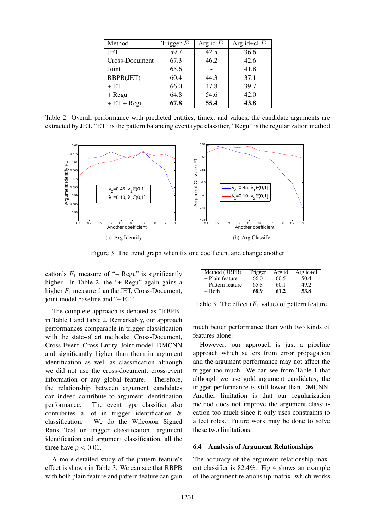| Method         | Trigger $F_1$ | Arg id $F_1$ | Arg id+cl $F_1$ |
|----------------|---------------|--------------|-----------------|
| <b>JET</b>     | 59.7          | 42.5         | 36.6            |
| Cross-Document | 67.3          | 46.2         | 42.6            |
| Joint          | 65.6          |              | 41.8            |
| RBPB(JET)      | 60.4          | 44.3         | 37.1            |
| $+ ET$         | 66.0          | 47.8         | 39.7            |
| + Regu         | 64.8          | 54.6         | 42.0            |
| $+ ET + Regu$  | 67.8          | 55.4         | 43.8            |

Table 2: Overall performance with predicted entities, timex, and values, the candidate arguments are extracted by JET. "ET" is the pattern balancing event type classifier, "Regu" is the regularization method



Figure 3: The trend graph when fix one coefficient and change another

cation's  $F_1$  measure of "+ Regu" is significantly higher. In Table 2, the "+ Regu" again gains a higher  $F_1$  measure than the JET, Cross-Document, joint model baseline and "+ ET".

The complete approach is denoted as "RBPB" in Table 1 and Table 2. Remarkably, our approach performances comparable in trigger classification with the state-of art methods: Cross-Document, Cross-Event, Cross-Entity, Joint model, DMCNN and significantly higher than them in argument identification as well as classification although we did not use the cross-document, cross-event information or any global feature. Therefore, the relationship between argument candidates can indeed contribute to argument identification performance. The event type classifier also contributes a lot in trigger identification & classification. We do the Wilcoxon Signed Rank Test on trigger classification, argument identification and argument classification, all the three have  $p < 0.01$ .

A more detailed study of the pattern feature's effect is shown in Table 3. We can see that RBPB with both plain feature and pattern feature can gain

| Method (RBPB)     | Trigger | Arg id | Arg $id+cl$ |
|-------------------|---------|--------|-------------|
| + Plain feature   | 66.0    | 60.5   | 50.4        |
| + Pattern feature | 65.8    | 60.1   | 49.2        |
| $+$ Both          | 68.9    | 61.2   | 53.8        |

Table 3: The effect  $(F_1 \text{ value})$  of pattern feature

much better performance than with two kinds of features alone.

However, our approach is just a pipeline approach which suffers from error propagation and the argument performance may not affect the trigger too much. We can see from Table 1 that although we use gold argument candidates, the trigger performance is still lower than DMCNN. Another limitation is that our regularization method does not improve the argument classification too much since it only uses constraints to affect roles. Future work may be done to solve these two limitations.

### 6.4 Analysis of Argument Relationships

The accuracy of the argument relationship maxent classifier is 82.4%. Fig 4 shows an example of the argument relationship matrix, which works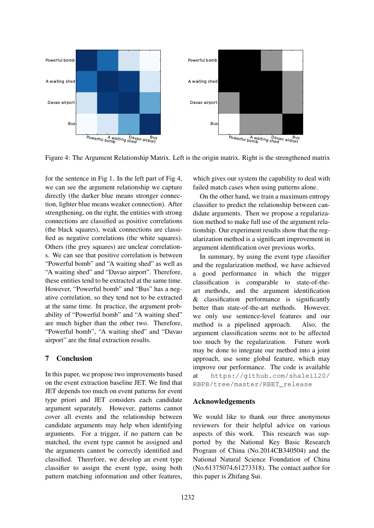

Figure 4: The Argument Relationship Matrix. Left is the origin matrix. Right is the strengthened matrix

for the sentence in Fig 1. In the left part of Fig 4, we can see the argument relationship we capture directly (the darker blue means stronger connection, lighter blue means weaker connection). After strengthening, on the right, the entities with strong connections are classified as positive correlations (the black squares), weak connections are classified as negative correlations (the white squares). Others (the grey squares) are unclear correlations. We can see that positive correlation is between "Powerful bomb" and "A waiting shed" as well as "A waiting shed" and "Davao airport". Therefore, these entities tend to be extracted at the same time. However, "Powerful bomb" and "Bus" has a negative correlation, so they tend not to be extracted at the same time. In practice, the argument probability of "Powerful bomb" and "A waiting shed" are much higher than the other two. Therefore, "Powerful bomb", "A waiting shed" and "Davao airport" are the final extraction results.

# 7 Conclusion

In this paper, we propose two improvements based on the event extraction baseline JET. We find that JET depends too much on event patterns for event type priori and JET considers each candidate argument separately. However, patterns cannot cover all events and the relationship between candidate arguments may help when identifying arguments. For a trigger, if no pattern can be matched, the event type cannot be assigned and the arguments cannot be correctly identified and classified. Therefore, we develop an event type classifier to assign the event type, using both pattern matching information and other features, which gives our system the capability to deal with failed match cases when using patterns alone.

On the other hand, we train a maximum entropy classifier to predict the relationship between candidate arguments. Then we propose a regularization method to make full use of the argument relationship. Our experiment results show that the regularization method is a significant improvement in argument identification over previous works.

In summary, by using the event type classifier and the regularization method, we have achieved a good performance in which the trigger classification is comparable to state-of-theart methods, and the argument identification & classification performance is significantly better than state-of-the-art methods. However, we only use sentence-level features and our method is a pipelined approach. Also, the argument classification seems not to be affected too much by the regularization. Future work may be done to integrate our method into a joint approach, use some global feature, which may improve our performance. The code is available at https://github.com/shalei120/ RBPB/tree/master/RBET\_release

## Acknowledgements

We would like to thank our three anonymous reviewers for their helpful advice on various aspects of this work. This research was supported by the National Key Basic Research Program of China (No.2014CB340504) and the National Natural Science Foundation of China (No.61375074,61273318). The contact author for this paper is Zhifang Sui.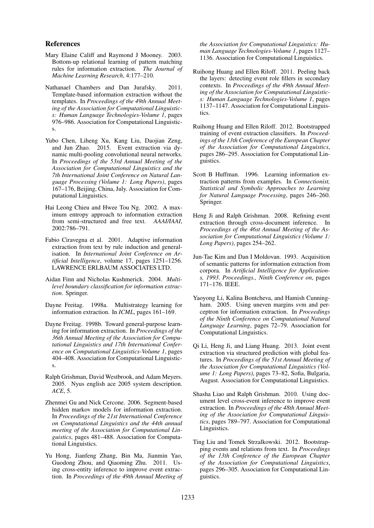#### References

- Mary Elaine Califf and Raymond J Mooney. 2003. Bottom-up relational learning of pattern matching rules for information extraction. *The Journal of Machine Learning Research*, 4:177–210.
- Nathanael Chambers and Dan Jurafsky. 2011. Template-based information extraction without the templates. In *Proceedings of the 49th Annual Meeting of the Association for Computational Linguistics: Human Language Technologies-Volume 1*, pages 976–986. Association for Computational Linguistics.
- Yubo Chen, Liheng Xu, Kang Liu, Daojian Zeng, and Jun Zhao. 2015. Event extraction via dynamic multi-pooling convolutional neural networks. In *Proceedings of the 53rd Annual Meeting of the Association for Computational Linguistics and the 7th International Joint Conference on Natural Language Processing (Volume 1: Long Papers)*, pages 167–176, Beijing, China, July. Association for Computational Linguistics.
- Hai Leong Chieu and Hwee Tou Ng. 2002. A maximum entropy approach to information extraction from semi-structured and free text. *AAAI/IAAI*, 2002:786–791.
- Fabio Ciravegna et al. 2001. Adaptive information extraction from text by rule induction and generalisation. In *International Joint Conference on Artificial Intelligence*, volume 17, pages 1251–1256. LAWRENCE ERLBAUM ASSOCIATES LTD.
- Aidan Finn and Nicholas Kushmerick. 2004. *Multilevel boundary classification for information extraction*. Springer.
- Dayne Freitag. 1998a. Multistrategy learning for information extraction. In *ICML*, pages 161–169.
- Dayne Freitag. 1998b. Toward general-purpose learning for information extraction. In *Proceedings of the 36th Annual Meeting of the Association for Computational Linguistics and 17th International Conference on Computational Linguistics-Volume 1*, pages 404–408. Association for Computational Linguistics.
- Ralph Grishman, David Westbrook, and Adam Meyers. 2005. Nyus english ace 2005 system description. *ACE*, 5.
- Zhenmei Gu and Nick Cercone. 2006. Segment-based hidden markov models for information extraction. In *Proceedings of the 21st International Conference on Computational Linguistics and the 44th annual meeting of the Association for Computational Linguistics*, pages 481–488. Association for Computational Linguistics.
- Yu Hong, Jianfeng Zhang, Bin Ma, Jianmin Yao, Guodong Zhou, and Qiaoming Zhu. 2011. Using cross-entity inference to improve event extraction. In *Proceedings of the 49th Annual Meeting of*

*the Association for Computational Linguistics: Human Language Technologies-Volume 1*, pages 1127– 1136. Association for Computational Linguistics.

- Ruihong Huang and Ellen Riloff. 2011. Peeling back the layers: detecting event role fillers in secondary contexts. In *Proceedings of the 49th Annual Meeting of the Association for Computational Linguistics: Human Language Technologies-Volume 1*, pages 1137–1147. Association for Computational Linguistics.
- Ruihong Huang and Ellen Riloff. 2012. Bootstrapped training of event extraction classifiers. In *Proceedings of the 13th Conference of the European Chapter of the Association for Computational Linguistics*, pages 286–295. Association for Computational Linguistics.
- Scott B Huffman. 1996. Learning information extraction patterns from examples. In *Connectionist, Statistical and Symbolic Approaches to Learning for Natural Language Processing*, pages 246–260. Springer.
- Heng Ji and Ralph Grishman. 2008. Refining event extraction through cross-document inference. In *Proceedings of the 46st Annual Meeting of the Association for Computational Linguistics (Volume 1: Long Papers)*, pages 254–262.
- Jun-Tae Kim and Dan I Moldovan. 1993. Acquisition of semantic patterns for information extraction from corpora. In *Artificial Intelligence for Applications, 1993. Proceedings., Ninth Conference on*, pages 171–176. IEEE.
- Yaoyong Li, Kalina Bontcheva, and Hamish Cunningham. 2005. Using uneven margins svm and perceptron for information extraction. In *Proceedings of the Ninth Conference on Computational Natural Language Learning*, pages 72–79. Association for Computational Linguistics.
- Qi Li, Heng Ji, and Liang Huang. 2013. Joint event extraction via structured prediction with global features. In *Proceedings of the 51st Annual Meeting of the Association for Computational Linguistics (Volume 1: Long Papers)*, pages 73–82, Sofia, Bulgaria, August. Association for Computational Linguistics.
- Shasha Liao and Ralph Grishman. 2010. Using document level cross-event inference to improve event extraction. In *Proceedings of the 48th Annual Meeting of the Association for Computational Linguistics*, pages 789–797. Association for Computational Linguistics.
- Ting Liu and Tomek Strzalkowski. 2012. Bootstrapping events and relations from text. In *Proceedings of the 13th Conference of the European Chapter of the Association for Computational Linguistics*, pages 296–305. Association for Computational Linguistics.